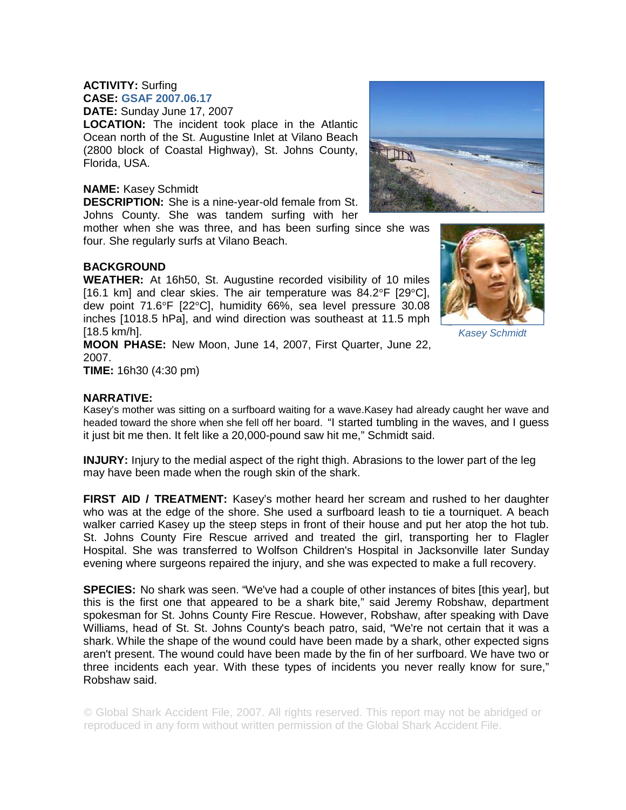## **ACTIVITY:** Surfing

**CASE: GSAF 2007.06.17 DATE:** Sunday June 17, 2007

**LOCATION:** The incident took place in the Atlantic Ocean north of the St. Augustine Inlet at Vilano Beach (2800 block of Coastal Highway), St. Johns County, Florida, USA.

## **NAME:** Kasey Schmidt

**DESCRIPTION:** She is a nine-year-old female from St. Johns County. She was tandem surfing with her

mother when she was three, and has been surfing since she was four. She regularly surfs at Vilano Beach.

## **BACKGROUND**

**WEATHER:** At 16h50, St. Augustine recorded visibility of 10 miles [16.1 km] and clear skies. The air temperature was 84.2°F [29°C], dew point 71.6°F [22°C], humidity 66%, sea level pressure 30.08 inches [1018.5 hPa], and wind direction was southeast at 11.5 mph [18.5 km/h].



*Kasey Schmidt* 

**MOON PHASE:** New Moon, June 14, 2007, First Quarter, June 22, 2007.

**TIME:** 16h30 (4:30 pm)

## **NARRATIVE:**

Kasey's mother was sitting on a surfboard waiting for a wave.Kasey had already caught her wave and headed toward the shore when she fell off her board. "I started tumbling in the waves, and I guess it just bit me then. It felt like a 20,000-pound saw hit me," Schmidt said.

**INJURY:** Injury to the medial aspect of the right thigh. Abrasions to the lower part of the leg may have been made when the rough skin of the shark.

**FIRST AID / TREATMENT:** Kasey's mother heard her scream and rushed to her daughter who was at the edge of the shore. She used a surfboard leash to tie a tourniquet. A beach walker carried Kasey up the steep steps in front of their house and put her atop the hot tub. St. Johns County Fire Rescue arrived and treated the girl, transporting her to Flagler Hospital. She was transferred to Wolfson Children's Hospital in Jacksonville later Sunday evening where surgeons repaired the injury, and she was expected to make a full recovery.

**SPECIES:** No shark was seen. "We've had a couple of other instances of bites [this year], but this is the first one that appeared to be a shark bite," said Jeremy Robshaw, department spokesman for St. Johns County Fire Rescue. However, Robshaw, after speaking with Dave Williams, head of St. St. Johns County's beach patro, said, "We're not certain that it was a shark. While the shape of the wound could have been made by a shark, other expected signs aren't present. The wound could have been made by the fin of her surfboard. We have two or three incidents each year. With these types of incidents you never really know for sure," Robshaw said.

© Global Shark Accident File, 2007. All rights reserved. This report may not be abridged or reproduced in any form without written permission of the Global Shark Accident File.